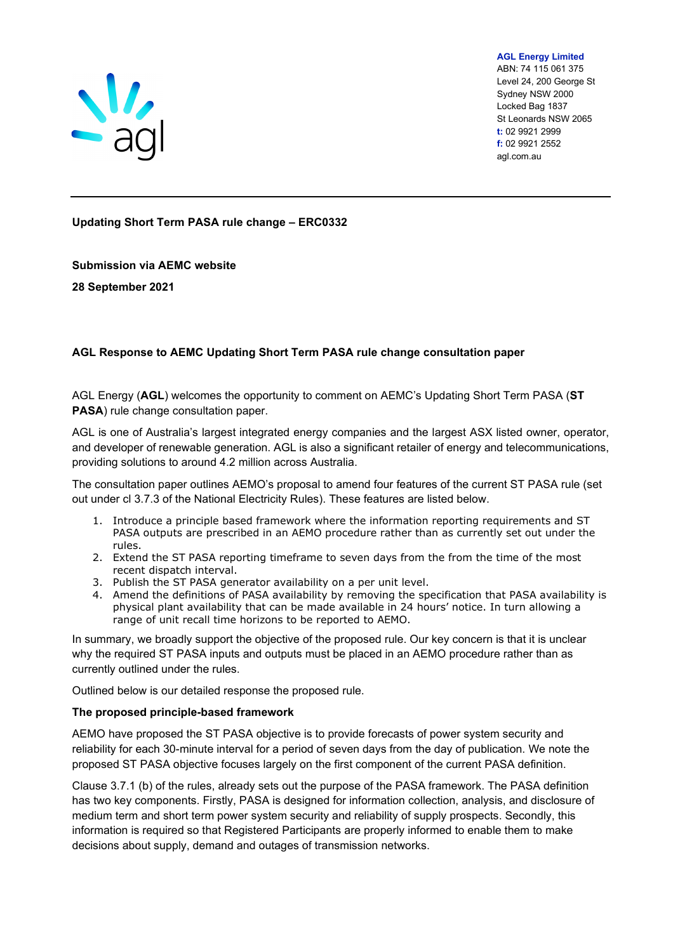

**AGL Energy Limited** ABN: 74 115 061 375 Level 24, 200 George St Sydney NSW 2000 Locked Bag 1837 St Leonards NSW 2065 **t:** 02 9921 2999 **f:** 02 9921 2552 agl.com.au

**Updating Short Term PASA rule change – ERC0332**

**Submission via AEMC website**

**28 September 2021**

# **AGL Response to AEMC Updating Short Term PASA rule change consultation paper**

AGL Energy (**AGL**) welcomes the opportunity to comment on AEMC's Updating Short Term PASA (**ST PASA**) rule change consultation paper.

AGL is one of Australia's largest integrated energy companies and the largest ASX listed owner, operator, and developer of renewable generation. AGL is also a significant retailer of energy and telecommunications, providing solutions to around 4.2 million across Australia.

The consultation paper outlines AEMO's proposal to amend four features of the current ST PASA rule (set out under cl 3.7.3 of the National Electricity Rules). These features are listed below.

- 1. Introduce a principle based framework where the information reporting requirements and ST PASA outputs are prescribed in an AEMO procedure rather than as currently set out under the rules.
- 2. Extend the ST PASA reporting timeframe to seven days from the from the time of the most recent dispatch interval.
- 3. Publish the ST PASA generator availability on a per unit level.
- 4. Amend the definitions of PASA availability by removing the specification that PASA availability is physical plant availability that can be made available in 24 hours' notice. In turn allowing a range of unit recall time horizons to be reported to AEMO.

In summary, we broadly support the objective of the proposed rule. Our key concern is that it is unclear why the required ST PASA inputs and outputs must be placed in an AEMO procedure rather than as currently outlined under the rules.

Outlined below is our detailed response the proposed rule.

### **The proposed principle-based framework**

AEMO have proposed the ST PASA objective is to provide forecasts of power system security and reliability for each 30-minute interval for a period of seven days from the day of publication. We note the proposed ST PASA objective focuses largely on the first component of the current PASA definition.

Clause 3.7.1 (b) of the rules, already sets out the purpose of the PASA framework. The PASA definition has two key components. Firstly, PASA is designed for information collection, analysis, and disclosure of medium term and short term power system security and reliability of supply prospects. Secondly, this information is required so that Registered Participants are properly informed to enable them to make decisions about supply, demand and outages of transmission networks.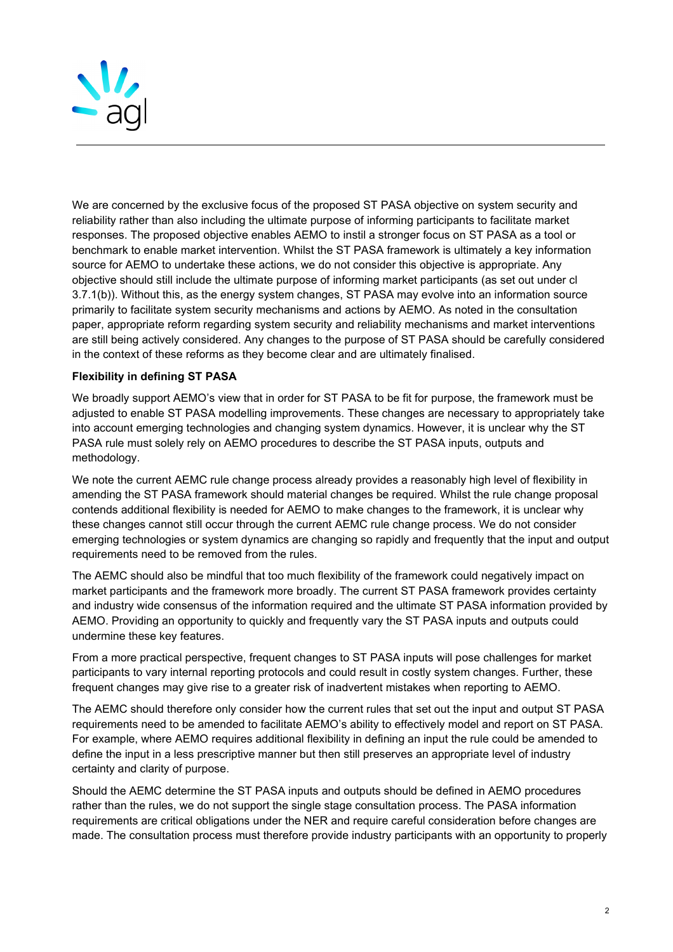

We are concerned by the exclusive focus of the proposed ST PASA objective on system security and reliability rather than also including the ultimate purpose of informing participants to facilitate market responses. The proposed objective enables AEMO to instil a stronger focus on ST PASA as a tool or benchmark to enable market intervention. Whilst the ST PASA framework is ultimately a key information source for AEMO to undertake these actions, we do not consider this objective is appropriate. Any objective should still include the ultimate purpose of informing market participants (as set out under cl 3.7.1(b)). Without this, as the energy system changes, ST PASA may evolve into an information source primarily to facilitate system security mechanisms and actions by AEMO. As noted in the consultation paper, appropriate reform regarding system security and reliability mechanisms and market interventions are still being actively considered. Any changes to the purpose of ST PASA should be carefully considered in the context of these reforms as they become clear and are ultimately finalised.

# **Flexibility in defining ST PASA**

We broadly support AEMO's view that in order for ST PASA to be fit for purpose, the framework must be adjusted to enable ST PASA modelling improvements. These changes are necessary to appropriately take into account emerging technologies and changing system dynamics. However, it is unclear why the ST PASA rule must solely rely on AEMO procedures to describe the ST PASA inputs, outputs and methodology.

We note the current AEMC rule change process already provides a reasonably high level of flexibility in amending the ST PASA framework should material changes be required. Whilst the rule change proposal contends additional flexibility is needed for AEMO to make changes to the framework, it is unclear why these changes cannot still occur through the current AEMC rule change process. We do not consider emerging technologies or system dynamics are changing so rapidly and frequently that the input and output requirements need to be removed from the rules.

The AEMC should also be mindful that too much flexibility of the framework could negatively impact on market participants and the framework more broadly. The current ST PASA framework provides certainty and industry wide consensus of the information required and the ultimate ST PASA information provided by AEMO. Providing an opportunity to quickly and frequently vary the ST PASA inputs and outputs could undermine these key features.

From a more practical perspective, frequent changes to ST PASA inputs will pose challenges for market participants to vary internal reporting protocols and could result in costly system changes. Further, these frequent changes may give rise to a greater risk of inadvertent mistakes when reporting to AEMO.

The AEMC should therefore only consider how the current rules that set out the input and output ST PASA requirements need to be amended to facilitate AEMO's ability to effectively model and report on ST PASA. For example, where AEMO requires additional flexibility in defining an input the rule could be amended to define the input in a less prescriptive manner but then still preserves an appropriate level of industry certainty and clarity of purpose.

Should the AEMC determine the ST PASA inputs and outputs should be defined in AEMO procedures rather than the rules, we do not support the single stage consultation process. The PASA information requirements are critical obligations under the NER and require careful consideration before changes are made. The consultation process must therefore provide industry participants with an opportunity to properly